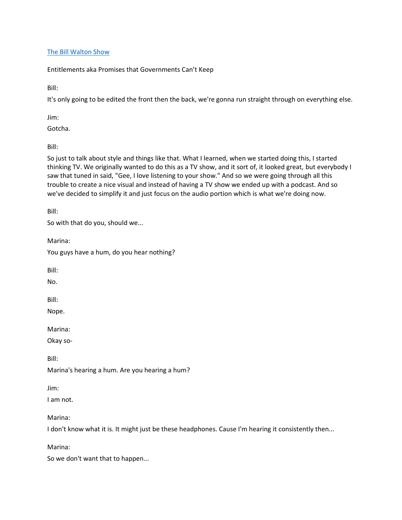### [The Bill Walton Show](https://thebillwaltonshow.com/)

Entitlements aka Promises that Governments Can't Keep

Bill:

It's only going to be edited the front then the back, we're gonna run straight through on everything else.

Jim:

Gotcha.

Bill:

So just to talk about style and things like that. What I learned, when we started doing this, I started thinking TV. We originally wanted to do this as a TV show, and it sort of, it looked great, but everybody I saw that tuned in said, "Gee, I love listening to your show." And so we were going through all this trouble to create a nice visual and instead of having a TV show we ended up with a podcast. And so we've decided to simplify it and just focus on the audio portion which is what we're doing now.

Bill:

So with that do you, should we...

Marina:

You guys have a hum, do you hear nothing?

Bill:

No.

Bill:

Nope.

Marina:

Okay so-

Bill:

Marina's hearing a hum. Are you hearing a hum?

Jim:

I am not.

Marina:

I don't know what it is. It might just be these headphones. Cause I'm hearing it consistently then...

Marina:

So we don't want that to happen...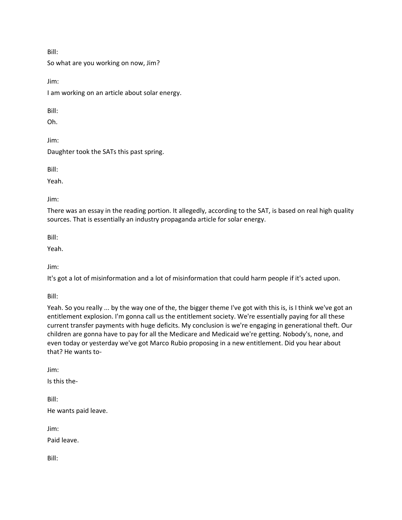Bill:

So what are you working on now, Jim?

Jim:

I am working on an article about solar energy.

Bill:

Oh.

Jim:

Daughter took the SATs this past spring.

Bill:

Yeah.

Jim:

There was an essay in the reading portion. It allegedly, according to the SAT, is based on real high quality sources. That is essentially an industry propaganda article for solar energy.

Bill:

Yeah.

Jim:

It's got a lot of misinformation and a lot of misinformation that could harm people if it's acted upon.

Bill:

Yeah. So you really ... by the way one of the, the bigger theme I've got with this is, is I think we've got an entitlement explosion. I'm gonna call us the entitlement society. We're essentially paying for all these current transfer payments with huge deficits. My conclusion is we're engaging in generational theft. Our children are gonna have to pay for all the Medicare and Medicaid we're getting. Nobody's, none, and even today or yesterday we've got Marco Rubio proposing in a new entitlement. Did you hear about that? He wants to-

Jim:

Is this the-

Bill:

He wants paid leave.

Jim:

Paid leave.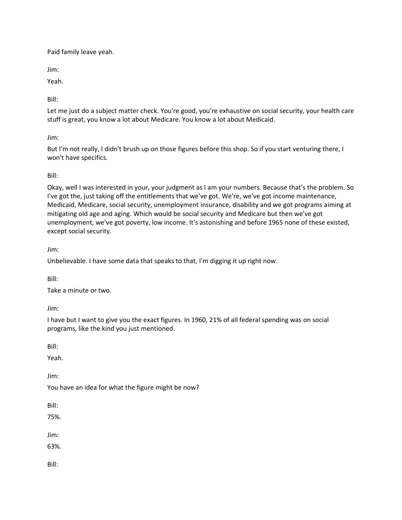Paid family leave yeah.

Jim:

Yeah.

Bill:

Let me just do a subject matter check. You're good, you're exhaustive on social security, your health care stuff is great, you know a lot about Medicare. You know a lot about Medicaid.

Jim:

But I'm not really, I didn't brush up on those figures before this shop. So if you start venturing there, I won't have specifics.

Bill:

Okay, well I was interested in your, your judgment as I am your numbers. Because that's the problem. So I've got the, just taking off the entitlements that we've got. We're, we've got income maintenance, Medicaid, Medicare, social security, unemployment insurance, disability and we got programs aiming at mitigating old age and aging. Which would be social security and Medicare but then we've got unemployment, we've got poverty, low income. It's astonishing and before 1965 none of these existed, except social security.

Jim:

Unbelievable. I have some data that speaks to that, I'm digging it up right now.

Bill:

Take a minute or two.

Jim:

I have but I want to give you the exact figures. In 1960, 21% of all federal spending was on social programs, like the kind you just mentioned.

Bill:

Yeah.

Jim:

You have an idea for what the figure might be now?

Bill:

75%.

Jim:

63%.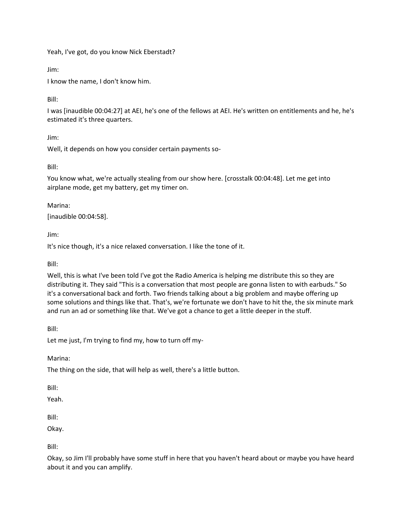Yeah, I've got, do you know Nick Eberstadt?

Jim:

I know the name, I don't know him.

Bill:

I was [inaudible 00:04:27] at AEI, he's one of the fellows at AEI. He's written on entitlements and he, he's estimated it's three quarters.

Jim:

Well, it depends on how you consider certain payments so-

Bill:

You know what, we're actually stealing from our show here. [crosstalk 00:04:48]. Let me get into airplane mode, get my battery, get my timer on.

Marina:

[inaudible 00:04:58].

Jim:

It's nice though, it's a nice relaxed conversation. I like the tone of it.

Bill:

Well, this is what I've been told I've got the Radio America is helping me distribute this so they are distributing it. They said "This is a conversation that most people are gonna listen to with earbuds." So it's a conversational back and forth. Two friends talking about a big problem and maybe offering up some solutions and things like that. That's, we're fortunate we don't have to hit the, the six minute mark and run an ad or something like that. We've got a chance to get a little deeper in the stuff.

Bill:

Let me just, I'm trying to find my, how to turn off my-

Marina:

The thing on the side, that will help as well, there's a little button.

Bill:

Yeah.

Bill:

Okay.

Bill:

Okay, so Jim I'll probably have some stuff in here that you haven't heard about or maybe you have heard about it and you can amplify.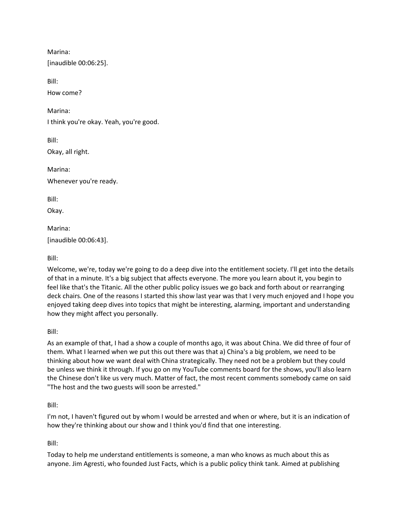Marina: [inaudible 00:06:25]. Bill: How come? Marina: I think you're okay. Yeah, you're good. Bill: Okay, all right. Marina: Whenever you're ready. Bill: Okay. Marina: [inaudible 00:06:43].

Bill:

Welcome, we're, today we're going to do a deep dive into the entitlement society. I'll get into the details of that in a minute. It's a big subject that affects everyone. The more you learn about it, you begin to feel like that's the Titanic. All the other public policy issues we go back and forth about or rearranging deck chairs. One of the reasons I started this show last year was that I very much enjoyed and I hope you enjoyed taking deep dives into topics that might be interesting, alarming, important and understanding how they might affect you personally.

Bill:

As an example of that, I had a show a couple of months ago, it was about China. We did three of four of them. What I learned when we put this out there was that a) China's a big problem, we need to be thinking about how we want deal with China strategically. They need not be a problem but they could be unless we think it through. If you go on my YouTube comments board for the shows, you'll also learn the Chinese don't like us very much. Matter of fact, the most recent comments somebody came on said "The host and the two guests will soon be arrested."

Bill:

I'm not, I haven't figured out by whom I would be arrested and when or where, but it is an indication of how they're thinking about our show and I think you'd find that one interesting.

Bill:

Today to help me understand entitlements is someone, a man who knows as much about this as anyone. Jim Agresti, who founded Just Facts, which is a public policy think tank. Aimed at publishing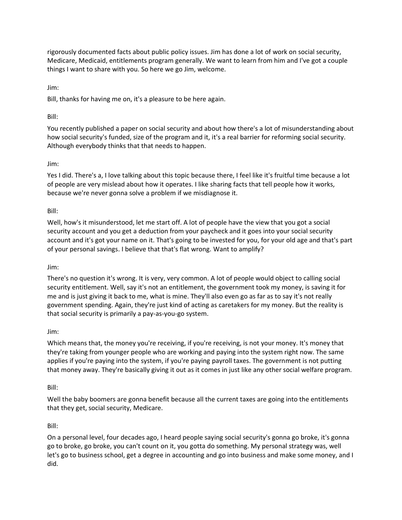rigorously documented facts about public policy issues. Jim has done a lot of work on social security, Medicare, Medicaid, entitlements program generally. We want to learn from him and I've got a couple things I want to share with you. So here we go Jim, welcome.

Jim:

Bill, thanks for having me on, it's a pleasure to be here again.

## Bill:

You recently published a paper on social security and about how there's a lot of misunderstanding about how social security's funded, size of the program and it, it's a real barrier for reforming social security. Although everybody thinks that that needs to happen.

## Jim:

Yes I did. There's a, I love talking about this topic because there, I feel like it's fruitful time because a lot of people are very mislead about how it operates. I like sharing facts that tell people how it works, because we're never gonna solve a problem if we misdiagnose it.

## Bill:

Well, how's it misunderstood, let me start off. A lot of people have the view that you got a social security account and you get a deduction from your paycheck and it goes into your social security account and it's got your name on it. That's going to be invested for you, for your old age and that's part of your personal savings. I believe that that's flat wrong. Want to amplify?

### Jim:

There's no question it's wrong. It is very, very common. A lot of people would object to calling social security entitlement. Well, say it's not an entitlement, the government took my money, is saving it for me and is just giving it back to me, what is mine. They'll also even go as far as to say it's not really government spending. Again, they're just kind of acting as caretakers for my money. But the reality is that social security is primarily a pay-as-you-go system.

### Jim:

Which means that, the money you're receiving, if you're receiving, is not your money. It's money that they're taking from younger people who are working and paying into the system right now. The same applies if you're paying into the system, if you're paying payroll taxes. The government is not putting that money away. They're basically giving it out as it comes in just like any other social welfare program.

### Bill:

Well the baby boomers are gonna benefit because all the current taxes are going into the entitlements that they get, social security, Medicare.

## Bill:

On a personal level, four decades ago, I heard people saying social security's gonna go broke, it's gonna go to broke, go broke, you can't count on it, you gotta do something. My personal strategy was, well let's go to business school, get a degree in accounting and go into business and make some money, and I did.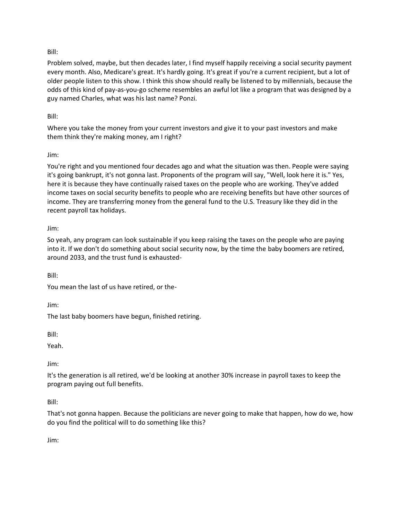## Bill:

Problem solved, maybe, but then decades later, I find myself happily receiving a social security payment every month. Also, Medicare's great. It's hardly going. It's great if you're a current recipient, but a lot of older people listen to this show. I think this show should really be listened to by millennials, because the odds of this kind of pay-as-you-go scheme resembles an awful lot like a program that was designed by a guy named Charles, what was his last name? Ponzi.

### Bill:

Where you take the money from your current investors and give it to your past investors and make them think they're making money, am I right?

### Jim:

You're right and you mentioned four decades ago and what the situation was then. People were saying it's going bankrupt, it's not gonna last. Proponents of the program will say, "Well, look here it is." Yes, here it is because they have continually raised taxes on the people who are working. They've added income taxes on social security benefits to people who are receiving benefits but have other sources of income. They are transferring money from the general fund to the U.S. Treasury like they did in the recent payroll tax holidays.

## Jim:

So yeah, any program can look sustainable if you keep raising the taxes on the people who are paying into it. If we don't do something about social security now, by the time the baby boomers are retired, around 2033, and the trust fund is exhausted-

Bill:

You mean the last of us have retired, or the-

Jim:

The last baby boomers have begun, finished retiring.

Bill:

Yeah.

Jim:

It's the generation is all retired, we'd be looking at another 30% increase in payroll taxes to keep the program paying out full benefits.

Bill:

That's not gonna happen. Because the politicians are never going to make that happen, how do we, how do you find the political will to do something like this?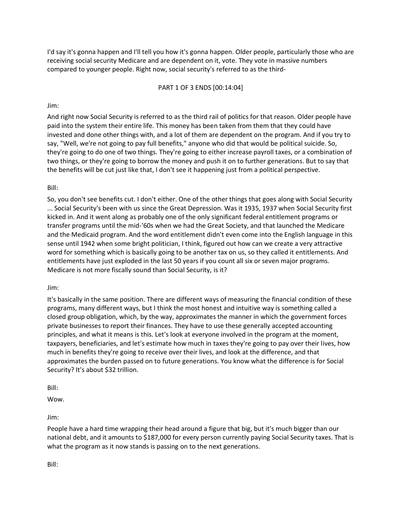I'd say it's gonna happen and I'll tell you how it's gonna happen. Older people, particularly those who are receiving social security Medicare and are dependent on it, vote. They vote in massive numbers compared to younger people. Right now, social security's referred to as the third-

### PART 1 OF 3 ENDS [00:14:04]

## Jim:

And right now Social Security is referred to as the third rail of politics for that reason. Older people have paid into the system their entire life. This money has been taken from them that they could have invested and done other things with, and a lot of them are dependent on the program. And if you try to say, "Well, we're not going to pay full benefits," anyone who did that would be political suicide. So, they're going to do one of two things. They're going to either increase payroll taxes, or a combination of two things, or they're going to borrow the money and push it on to further generations. But to say that the benefits will be cut just like that, I don't see it happening just from a political perspective.

## Bill:

So, you don't see benefits cut. I don't either. One of the other things that goes along with Social Security ... Social Security's been with us since the Great Depression. Was it 1935, 1937 when Social Security first kicked in. And it went along as probably one of the only significant federal entitlement programs or transfer programs until the mid-'60s when we had the Great Society, and that launched the Medicare and the Medicaid program. And the word entitlement didn't even come into the English language in this sense until 1942 when some bright politician, I think, figured out how can we create a very attractive word for something which is basically going to be another tax on us, so they called it entitlements. And entitlements have just exploded in the last 50 years if you count all six or seven major programs. Medicare is not more fiscally sound than Social Security, is it?

### Jim:

It's basically in the same position. There are different ways of measuring the financial condition of these programs, many different ways, but I think the most honest and intuitive way is something called a closed group obligation, which, by the way, approximates the manner in which the government forces private businesses to report their finances. They have to use these generally accepted accounting principles, and what it means is this. Let's look at everyone involved in the program at the moment, taxpayers, beneficiaries, and let's estimate how much in taxes they're going to pay over their lives, how much in benefits they're going to receive over their lives, and look at the difference, and that approximates the burden passed on to future generations. You know what the difference is for Social Security? It's about \$32 trillion.

Bill:

Wow.

Jim:

People have a hard time wrapping their head around a figure that big, but it's much bigger than our national debt, and it amounts to \$187,000 for every person currently paying Social Security taxes. That is what the program as it now stands is passing on to the next generations.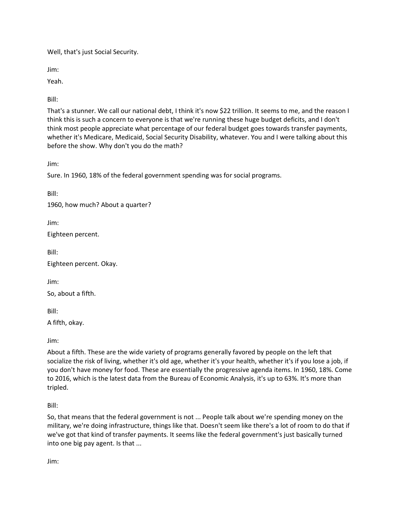Well, that's just Social Security.

Jim:

Yeah.

Bill:

That's a stunner. We call our national debt, I think it's now \$22 trillion. It seems to me, and the reason I think this is such a concern to everyone is that we're running these huge budget deficits, and I don't think most people appreciate what percentage of our federal budget goes towards transfer payments, whether it's Medicare, Medicaid, Social Security Disability, whatever. You and I were talking about this before the show. Why don't you do the math?

Jim:

Sure. In 1960, 18% of the federal government spending was for social programs.

Bill:

1960, how much? About a quarter?

Jim:

Eighteen percent.

Bill:

Eighteen percent. Okay.

Jim:

So, about a fifth.

Bill:

A fifth, okay.

Jim:

About a fifth. These are the wide variety of programs generally favored by people on the left that socialize the risk of living, whether it's old age, whether it's your health, whether it's if you lose a job, if you don't have money for food. These are essentially the progressive agenda items. In 1960, 18%. Come to 2016, which is the latest data from the Bureau of Economic Analysis, it's up to 63%. It's more than tripled.

Bill:

So, that means that the federal government is not ... People talk about we're spending money on the military, we're doing infrastructure, things like that. Doesn't seem like there's a lot of room to do that if we've got that kind of transfer payments. It seems like the federal government's just basically turned into one big pay agent. Is that ...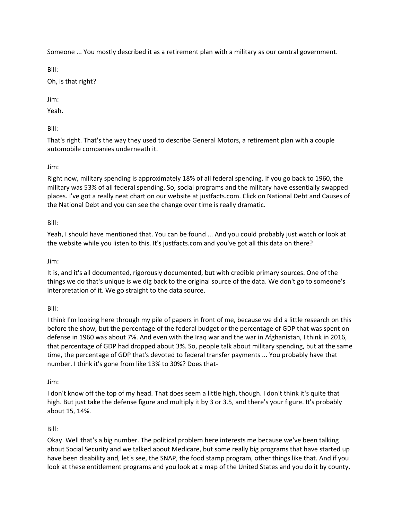Someone ... You mostly described it as a retirement plan with a military as our central government.

Bill:

Oh, is that right?

Jim:

Yeah.

Bill:

That's right. That's the way they used to describe General Motors, a retirement plan with a couple automobile companies underneath it.

# Jim:

Right now, military spending is approximately 18% of all federal spending. If you go back to 1960, the military was 53% of all federal spending. So, social programs and the military have essentially swapped places. I've got a really neat chart on our website at justfacts.com. Click on National Debt and Causes of the National Debt and you can see the change over time is really dramatic.

# Bill:

Yeah, I should have mentioned that. You can be found ... And you could probably just watch or look at the website while you listen to this. It's justfacts.com and you've got all this data on there?

## Jim:

It is, and it's all documented, rigorously documented, but with credible primary sources. One of the things we do that's unique is we dig back to the original source of the data. We don't go to someone's interpretation of it. We go straight to the data source.

## Bill:

I think I'm looking here through my pile of papers in front of me, because we did a little research on this before the show, but the percentage of the federal budget or the percentage of GDP that was spent on defense in 1960 was about 7%. And even with the Iraq war and the war in Afghanistan, I think in 2016, that percentage of GDP had dropped about 3%. So, people talk about military spending, but at the same time, the percentage of GDP that's devoted to federal transfer payments ... You probably have that number. I think it's gone from like 13% to 30%? Does that-

## Jim:

I don't know off the top of my head. That does seem a little high, though. I don't think it's quite that high. But just take the defense figure and multiply it by 3 or 3.5, and there's your figure. It's probably about 15, 14%.

## Bill:

Okay. Well that's a big number. The political problem here interests me because we've been talking about Social Security and we talked about Medicare, but some really big programs that have started up have been disability and, let's see, the SNAP, the food stamp program, other things like that. And if you look at these entitlement programs and you look at a map of the United States and you do it by county,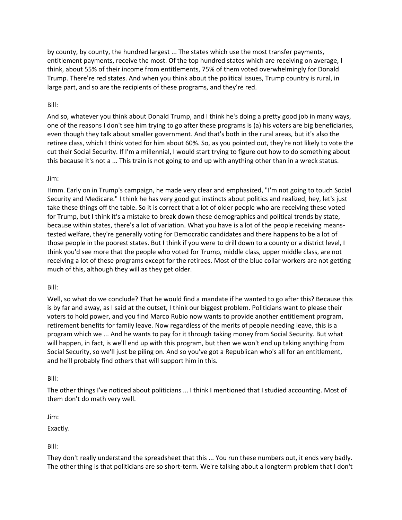by county, by county, the hundred largest ... The states which use the most transfer payments, entitlement payments, receive the most. Of the top hundred states which are receiving on average, I think, about 55% of their income from entitlements, 75% of them voted overwhelmingly for Donald Trump. There're red states. And when you think about the political issues, Trump country is rural, in large part, and so are the recipients of these programs, and they're red.

### Bill:

And so, whatever you think about Donald Trump, and I think he's doing a pretty good job in many ways, one of the reasons I don't see him trying to go after these programs is (a) his voters are big beneficiaries, even though they talk about smaller government. And that's both in the rural areas, but it's also the retiree class, which I think voted for him about 60%. So, as you pointed out, they're not likely to vote the cut their Social Security. If I'm a millennial, I would start trying to figure out how to do something about this because it's not a ... This train is not going to end up with anything other than in a wreck status.

### Jim:

Hmm. Early on in Trump's campaign, he made very clear and emphasized, "I'm not going to touch Social Security and Medicare." I think he has very good gut instincts about politics and realized, hey, let's just take these things off the table. So it is correct that a lot of older people who are receiving these voted for Trump, but I think it's a mistake to break down these demographics and political trends by state, because within states, there's a lot of variation. What you have is a lot of the people receiving meanstested welfare, they're generally voting for Democratic candidates and there happens to be a lot of those people in the poorest states. But I think if you were to drill down to a county or a district level, I think you'd see more that the people who voted for Trump, middle class, upper middle class, are not receiving a lot of these programs except for the retirees. Most of the blue collar workers are not getting much of this, although they will as they get older.

### Bill:

Well, so what do we conclude? That he would find a mandate if he wanted to go after this? Because this is by far and away, as I said at the outset, I think our biggest problem. Politicians want to please their voters to hold power, and you find Marco Rubio now wants to provide another entitlement program, retirement benefits for family leave. Now regardless of the merits of people needing leave, this is a program which we ... And he wants to pay for it through taking money from Social Security. But what will happen, in fact, is we'll end up with this program, but then we won't end up taking anything from Social Security, so we'll just be piling on. And so you've got a Republican who's all for an entitlement, and he'll probably find others that will support him in this.

### Bill:

The other things I've noticed about politicians ... I think I mentioned that I studied accounting. Most of them don't do math very well.

Jim:

Exactly.

Bill:

They don't really understand the spreadsheet that this ... You run these numbers out, it ends very badly. The other thing is that politicians are so short-term. We're talking about a longterm problem that I don't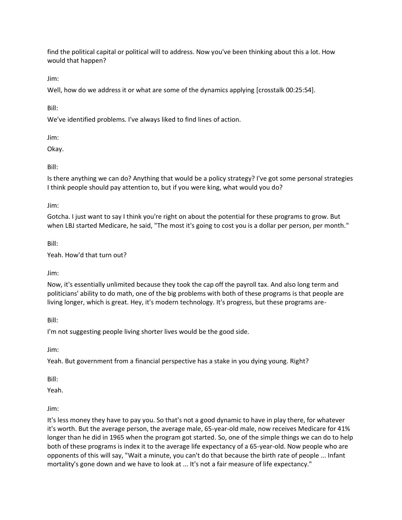find the political capital or political will to address. Now you've been thinking about this a lot. How would that happen?

Jim:

Well, how do we address it or what are some of the dynamics applying [crosstalk 00:25:54].

Bill:

We've identified problems. I've always liked to find lines of action.

Jim:

Okay.

Bill:

Is there anything we can do? Anything that would be a policy strategy? I've got some personal strategies I think people should pay attention to, but if you were king, what would you do?

Jim:

Gotcha. I just want to say I think you're right on about the potential for these programs to grow. But when LBJ started Medicare, he said, "The most it's going to cost you is a dollar per person, per month."

Bill:

Yeah. How'd that turn out?

Jim:

Now, it's essentially unlimited because they took the cap off the payroll tax. And also long term and politicians' ability to do math, one of the big problems with both of these programs is that people are living longer, which is great. Hey, it's modern technology. It's progress, but these programs are-

Bill:

I'm not suggesting people living shorter lives would be the good side.

Jim:

Yeah. But government from a financial perspective has a stake in you dying young. Right?

Bill:

Yeah.

Jim:

It's less money they have to pay you. So that's not a good dynamic to have in play there, for whatever it's worth. But the average person, the average male, 65-year-old male, now receives Medicare for 41% longer than he did in 1965 when the program got started. So, one of the simple things we can do to help both of these programs is index it to the average life expectancy of a 65-year-old. Now people who are opponents of this will say, "Wait a minute, you can't do that because the birth rate of people ... Infant mortality's gone down and we have to look at ... It's not a fair measure of life expectancy."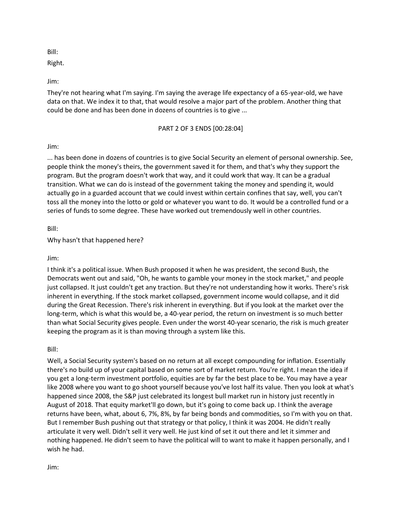Bill:

Right.

Jim:

They're not hearing what I'm saying. I'm saying the average life expectancy of a 65-year-old, we have data on that. We index it to that, that would resolve a major part of the problem. Another thing that could be done and has been done in dozens of countries is to give ...

## PART 2 OF 3 ENDS [00:28:04]

## Jim:

... has been done in dozens of countries is to give Social Security an element of personal ownership. See, people think the money's theirs, the government saved it for them, and that's why they support the program. But the program doesn't work that way, and it could work that way. It can be a gradual transition. What we can do is instead of the government taking the money and spending it, would actually go in a guarded account that we could invest within certain confines that say, well, you can't toss all the money into the lotto or gold or whatever you want to do. It would be a controlled fund or a series of funds to some degree. These have worked out tremendously well in other countries.

Bill:

Why hasn't that happened here?

Jim:

I think it's a political issue. When Bush proposed it when he was president, the second Bush, the Democrats went out and said, "Oh, he wants to gamble your money in the stock market," and people just collapsed. It just couldn't get any traction. But they're not understanding how it works. There's risk inherent in everything. If the stock market collapsed, government income would collapse, and it did during the Great Recession. There's risk inherent in everything. But if you look at the market over the long-term, which is what this would be, a 40-year period, the return on investment is so much better than what Social Security gives people. Even under the worst 40-year scenario, the risk is much greater keeping the program as it is than moving through a system like this.

Bill:

Well, a Social Security system's based on no return at all except compounding for inflation. Essentially there's no build up of your capital based on some sort of market return. You're right. I mean the idea if you get a long-term investment portfolio, equities are by far the best place to be. You may have a year like 2008 where you want to go shoot yourself because you've lost half its value. Then you look at what's happened since 2008, the S&P just celebrated its longest bull market run in history just recently in August of 2018. That equity market'll go down, but it's going to come back up. I think the average returns have been, what, about 6, 7%, 8%, by far being bonds and commodities, so I'm with you on that. But I remember Bush pushing out that strategy or that policy, I think it was 2004. He didn't really articulate it very well. Didn't sell it very well. He just kind of set it out there and let it simmer and nothing happened. He didn't seem to have the political will to want to make it happen personally, and I wish he had.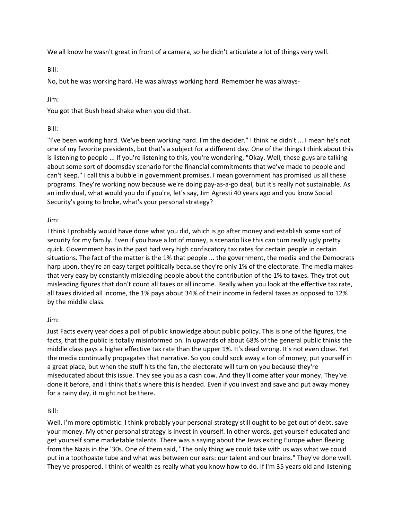We all know he wasn't great in front of a camera, so he didn't articulate a lot of things very well.

Bill:

No, but he was working hard. He was always working hard. Remember he was always-

Jim:

You got that Bush head shake when you did that.

## Bill:

"I've been working hard. We've been working hard. I'm the decider." I think he didn't ... I mean he's not one of my favorite presidents, but that's a subject for a different day. One of the things I think about this is listening to people ... If you're listening to this, you're wondering, "Okay. Well, these guys are talking about some sort of doomsday scenario for the financial commitments that we've made to people and can't keep." I call this a bubble in government promises. I mean government has promised us all these programs. They're working now because we're doing pay-as-a-go deal, but it's really not sustainable. As an individual, what would you do if you're, let's say, Jim Agresti 40 years ago and you know Social Security's going to broke, what's your personal strategy?

Jim:

I think I probably would have done what you did, which is go after money and establish some sort of security for my family. Even if you have a lot of money, a scenario like this can turn really ugly pretty quick. Government has in the past had very high confiscatory tax rates for certain people in certain situations. The fact of the matter is the 1% that people ... the government, the media and the Democrats harp upon, they're an easy target politically because they're only 1% of the electorate. The media makes that very easy by constantly misleading people about the contribution of the 1% to taxes. They trot out misleading figures that don't count all taxes or all income. Really when you look at the effective tax rate, all taxes divided all income, the 1% pays about 34% of their income in federal taxes as opposed to 12% by the middle class.

### Jim:

Just Facts every year does a poll of public knowledge about public policy. This is one of the figures, the facts, that the public is totally misinformed on. In upwards of about 68% of the general public thinks the middle class pays a higher effective tax rate than the upper 1%. It's dead wrong. It's not even close. Yet the media continually propagates that narrative. So you could sock away a ton of money, put yourself in a great place, but when the stuff hits the fan, the electorate will turn on you because they're miseducated about this issue. They see you as a cash cow. And they'll come after your money. They've done it before, and I think that's where this is headed. Even if you invest and save and put away money for a rainy day, it might not be there.

### Bill:

Well, I'm more optimistic. I think probably your personal strategy still ought to be get out of debt, save your money. My other personal strategy is invest in yourself. In other words, get yourself educated and get yourself some marketable talents. There was a saying about the Jews exiting Europe when fleeing from the Nazis in the '30s. One of them said, "The only thing we could take with us was what we could put in a toothpaste tube and what was between our ears: our talent and our brains." They've done well. They've prospered. I think of wealth as really what you know how to do. If I'm 35 years old and listening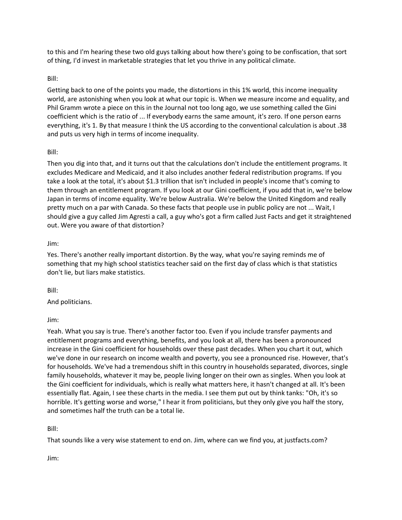to this and I'm hearing these two old guys talking about how there's going to be confiscation, that sort of thing, I'd invest in marketable strategies that let you thrive in any political climate.

## Bill:

Getting back to one of the points you made, the distortions in this 1% world, this income inequality world, are astonishing when you look at what our topic is. When we measure income and equality, and Phil Gramm wrote a piece on this in the Journal not too long ago, we use something called the Gini coefficient which is the ratio of ... If everybody earns the same amount, it's zero. If one person earns everything, it's 1. By that measure I think the US according to the conventional calculation is about .38 and puts us very high in terms of income inequality.

## Bill:

Then you dig into that, and it turns out that the calculations don't include the entitlement programs. It excludes Medicare and Medicaid, and it also includes another federal redistribution programs. If you take a look at the total, it's about \$1.3 trillion that isn't included in people's income that's coming to them through an entitlement program. If you look at our Gini coefficient, if you add that in, we're below Japan in terms of income equality. We're below Australia. We're below the United Kingdom and really pretty much on a par with Canada. So these facts that people use in public policy are not ... Wait, I should give a guy called Jim Agresti a call, a guy who's got a firm called Just Facts and get it straightened out. Were you aware of that distortion?

## Jim:

Yes. There's another really important distortion. By the way, what you're saying reminds me of something that my high school statistics teacher said on the first day of class which is that statistics don't lie, but liars make statistics.

### Bill:

And politicians.

### Jim:

Yeah. What you say is true. There's another factor too. Even if you include transfer payments and entitlement programs and everything, benefits, and you look at all, there has been a pronounced increase in the Gini coefficient for households over these past decades. When you chart it out, which we've done in our research on income wealth and poverty, you see a pronounced rise. However, that's for households. We've had a tremendous shift in this country in households separated, divorces, single family households, whatever it may be, people living longer on their own as singles. When you look at the Gini coefficient for individuals, which is really what matters here, it hasn't changed at all. It's been essentially flat. Again, I see these charts in the media. I see them put out by think tanks: "Oh, it's so horrible. It's getting worse and worse," I hear it from politicians, but they only give you half the story, and sometimes half the truth can be a total lie.

Bill:

That sounds like a very wise statement to end on. Jim, where can we find you, at justfacts.com?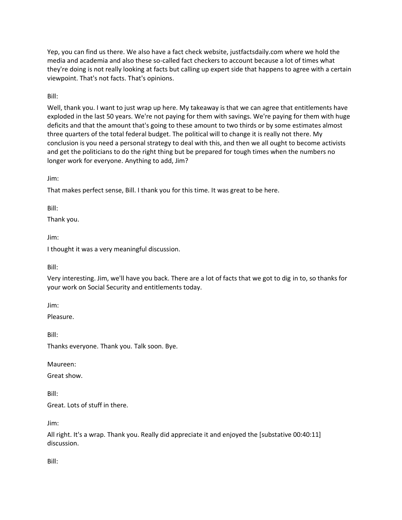Yep, you can find us there. We also have a fact check website, justfactsdaily.com where we hold the media and academia and also these so-called fact checkers to account because a lot of times what they're doing is not really looking at facts but calling up expert side that happens to agree with a certain viewpoint. That's not facts. That's opinions.

Bill:

Well, thank you. I want to just wrap up here. My takeaway is that we can agree that entitlements have exploded in the last 50 years. We're not paying for them with savings. We're paying for them with huge deficits and that the amount that's going to these amount to two thirds or by some estimates almost three quarters of the total federal budget. The political will to change it is really not there. My conclusion is you need a personal strategy to deal with this, and then we all ought to become activists and get the politicians to do the right thing but be prepared for tough times when the numbers no longer work for everyone. Anything to add, Jim?

Jim:

That makes perfect sense, Bill. I thank you for this time. It was great to be here.

Bill:

Thank you.

Jim:

I thought it was a very meaningful discussion.

Bill:

Very interesting. Jim, we'll have you back. There are a lot of facts that we got to dig in to, so thanks for your work on Social Security and entitlements today.

Jim:

Pleasure.

Bill:

Thanks everyone. Thank you. Talk soon. Bye.

Maureen:

Great show.

Bill:

Great. Lots of stuff in there.

Jim:

All right. It's a wrap. Thank you. Really did appreciate it and enjoyed the [substative 00:40:11] discussion.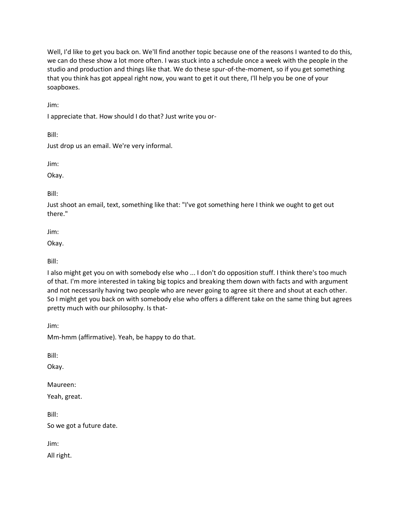Well, I'd like to get you back on. We'll find another topic because one of the reasons I wanted to do this, we can do these show a lot more often. I was stuck into a schedule once a week with the people in the studio and production and things like that. We do these spur-of-the-moment, so if you get something that you think has got appeal right now, you want to get it out there, I'll help you be one of your soapboxes.

Jim:

I appreciate that. How should I do that? Just write you or-

Bill:

Just drop us an email. We're very informal.

Jim:

Okay.

Bill:

Just shoot an email, text, something like that: "I've got something here I think we ought to get out there."

Jim:

Okay.

Bill:

I also might get you on with somebody else who ... I don't do opposition stuff. I think there's too much of that. I'm more interested in taking big topics and breaking them down with facts and with argument and not necessarily having two people who are never going to agree sit there and shout at each other. So I might get you back on with somebody else who offers a different take on the same thing but agrees pretty much with our philosophy. Is that-

Jim:

Mm-hmm (affirmative). Yeah, be happy to do that.

Bill:

Okay.

Maureen:

Yeah, great.

Bill:

So we got a future date.

Jim:

All right.